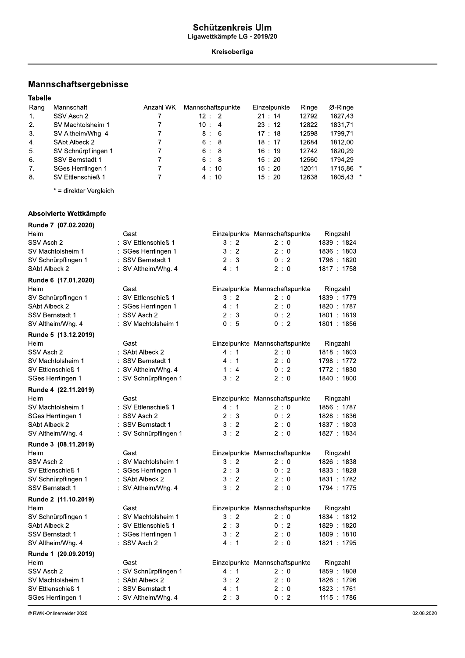#### Schutzenkreis Ulm Ligawettkampfe LG - 2019/20

#### Kreisoberliga

### mannscnaπsergepnisse

|                | Mannschaftsergebnisse  |                     |                   |                                |       |             |  |
|----------------|------------------------|---------------------|-------------------|--------------------------------|-------|-------------|--|
| <b>Tabelle</b> |                        |                     |                   |                                |       |             |  |
| Rang           | Mannschaft             | Anzahl WK           | Mannschaftspunkte | Einzelpunkte                   | Ringe | Ø-Ringe     |  |
| 1.             | SSV Asch 2             | 7                   | 12 : 2            | 21 : 14                        | 12792 | 1827,43     |  |
| 2.             | SV Machtolsheim 1      |                     | 10:4              | 23 : 12                        | 12822 | 1831,71     |  |
| 3.             | SV Altheim/Whg. 4      | 7                   | 8:6               | 17 : 18                        | 12598 | 1799,71     |  |
| 4.             | SAbt Albeck 2          | 7                   | 6:8               | 18:17                          | 12684 | 1812,00     |  |
| 5.             | SV Schnürpflingen 1    | 7                   | 6:8               | 16:19                          | 12742 | 1820,29     |  |
| 6.             | <b>SSV Bernstadt 1</b> | $\overline{7}$      | 6:8               | 15:20                          | 12560 | 1794,29     |  |
| 7.             | SGes Herrlingen 1      |                     | 4:10              | 15:20                          | 12011 | 1715,86 *   |  |
| 8.             | SV Ettlenschieß 1      | 7                   | 4:10              | 15:20                          | 12638 | 1805.43 *   |  |
|                | * = direkter Vergleich |                     |                   |                                |       |             |  |
|                | Absolvierte Wettkämpfe |                     |                   |                                |       |             |  |
|                | Runde 7 (07.02.2020)   |                     |                   |                                |       |             |  |
| Heim           |                        | Gast                |                   | Einzelpunkte Mannschaftspunkte |       | Ringzahl    |  |
| SSV Asch 2     |                        | : SV Ettlenschieß 1 | 3:2               | $2 \cdot 0$                    |       | 1839 : 1824 |  |
|                | SV Machtolsheim 1      | : SGes Herrlingen 1 | 3:2               | 2:0                            |       | 1836: 1803  |  |

#### Absolvierte Wettkämpfe

|               | Absolvierte Wettkämpfe  |                       |     |                                |             |  |
|---------------|-------------------------|-----------------------|-----|--------------------------------|-------------|--|
|               | Runde 7 (07.02.2020)    |                       |     |                                |             |  |
| Heim          |                         | Gast                  |     | Einzelpunkte Mannschaftspunkte | Ringzahl    |  |
| SSV Asch 2    |                         | : SV Ettlenschieß 1   | 3:2 | 2:0                            | 1839 1824   |  |
|               | SV Machtolsheim 1       | : SGes Herrlingen 1   | 3:2 | 2:0                            | 1836: 1803  |  |
|               | SV Schnürpflingen 1     | : SSV Bernstadt 1     | 2:3 | 0:2                            | 1796: 1820  |  |
| SAbt Albeck 2 |                         | : SV Altheim/Whg. 4   | 4:1 | 2:0                            | 1817: 1758  |  |
|               | Runde 6 (17.01.2020)    |                       |     |                                |             |  |
| Heim          |                         | Gast                  |     | Einzelpunkte Mannschaftspunkte | Ringzahl    |  |
|               | SV Schnürpflingen 1     | : SV Ettlenschieß 1   | 3:2 | 2:0                            | 1839 : 1779 |  |
| SAbt Albeck 2 |                         | SGes Herrlingen 1     | 4:1 | 2:0                            | 1820: 1787  |  |
|               | SSV Bernstadt 1         | : SSV Asch 2          | 2:3 | 0:2                            | 1801: 1819  |  |
|               | SV Altheim/Whg. 4       | : SV Machtolsheim 1   | 0:5 | 0:2                            | 1801 : 1856 |  |
|               | Runde 5 (13.12.2019)    |                       |     |                                |             |  |
| Heim          |                         | Gast                  |     | Einzelpunkte Mannschaftspunkte | Ringzahl    |  |
| SSV Asch 2    |                         | : SAbt Albeck 2       | 4:1 | 2:0                            | 1818 : 1803 |  |
|               | SV Machtolsheim 1       | : SSV Bernstadt 1     | 4:1 | 2:0                            | 1798: 1772  |  |
|               | SV Ettlenschieß 1       | : SV Altheim/Whg. 4   | 1:4 | 0:2                            | 1772: 1830  |  |
|               | SGes Herrlingen 1       | : SV Schnürpflingen 1 | 3:2 | 2:0                            | 1840: 1800  |  |
|               | Runde 4 (22.11.2019)    |                       |     |                                |             |  |
| Heim          |                         | Gast                  |     | Einzelpunkte Mannschaftspunkte | Ringzahl    |  |
|               | SV Machtolsheim 1       | : SV Ettlenschieß 1   | 4:1 | 2:0                            | 1856 . 1787 |  |
|               | SGes Herrlingen 1       | : SSV Asch 2          | 2:3 | 0:2                            | 1828: 1836  |  |
| SAbt Albeck 2 |                         | : SSV Bernstadt 1     | 3:2 | 2:0                            | 1837: 1803  |  |
|               | SV Altheim/Whg. 4       | : SV Schnürpflingen 1 | 3:2 | 2:0                            | 1827: 1834  |  |
|               | Runde 3 (08.11.2019)    |                       |     |                                |             |  |
| Heim          |                         | Gast                  |     | Einzelpunkte Mannschaftspunkte | Ringzahl    |  |
| SSV Asch 2    |                         | : SV Machtolsheim 1   | 3:2 | 2:0                            | 1826 : 1838 |  |
|               | SV Ettlenschieß 1       | SGes Herrlingen 1     | 2:3 | 0:2                            | 1833 : 1828 |  |
|               | SV Schnürpflingen 1     | : SAbt Albeck 2       | 3:2 | 2:0                            | 1831: 1782  |  |
|               | <b>SSV Bernstadt 1</b>  | : SV Altheim/Whg. 4   | 3:2 | 2:0                            | 1794: 1775  |  |
|               | Runde 2 (11.10.2019)    |                       |     |                                |             |  |
| Heim          |                         | Gast                  |     | Einzelpunkte Mannschaftspunkte | Ringzahl    |  |
|               | SV Schnürpflingen 1     | : SV Machtolsheim 1   | 3:2 | 2:0                            | 1834 : 1812 |  |
| SAbt Albeck 2 |                         | SV Ettlenschieß 1     | 2:3 | 0:2                            | 1829: 1820  |  |
|               | <b>SSV Bernstadt 1</b>  | SGes Herrlingen 1     | 3:2 | 2:0                            | 1809: 1810  |  |
|               | SV Altheim/Whg. 4       | : SSV Asch 2          | 4:1 | 2:0                            | 1821: 1795  |  |
|               | Runde 1 (20.09.2019)    |                       |     |                                |             |  |
| Heim          |                         | Gast                  |     | Einzelpunkte Mannschaftspunkte | Ringzahl    |  |
| SSV Asch 2    |                         | : SV Schnürpflingen 1 | 4:1 | 2:0                            | 1859: 1808  |  |
|               | SV Machtolsheim 1       | SAbt Albeck 2         | 3:2 | 2:0                            | 1826 : 1796 |  |
|               | SV Ettlenschieß 1       | : SSV Bernstadt 1     | 4:1 | 2:0                            | 1823: 1761  |  |
|               | SGes Herrlingen 1       | : SV Altheim/Whg. 4   | 2:3 | 0:2                            | 1115: 1786  |  |
|               | © RWK-Onlinemelder 2020 |                       |     |                                |             |  |
|               |                         |                       |     |                                |             |  |
|               |                         |                       |     |                                |             |  |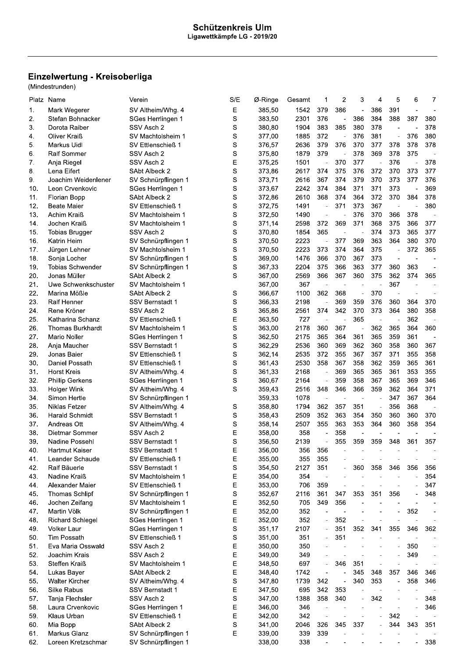# Einzelwertung - Kreisoberliga<br>(Mindestrunden)

| Platz | Name                    | Verein                 | S/E         | Ø-Ringe | Gesamt | 1                        | 2                        | 3                        | 4                        | 5                        | 6                        | 7              |
|-------|-------------------------|------------------------|-------------|---------|--------|--------------------------|--------------------------|--------------------------|--------------------------|--------------------------|--------------------------|----------------|
| 1.    | Mark Wegerer            | SV Altheim/Whg. 4      | Е           | 385,50  | 1542   | 379                      | 386                      | $\overline{a}$           | 386                      | 391                      |                          |                |
| 2.    | Stefan Bohnacker        | SGes Herrlingen 1      | S           | 383,50  | 2301   | 376                      | ÷,                       | 386                      | 384                      | 388                      | 387                      | 380            |
| 3.    | Dorota Raiber           | SSV Asch 2             | S           | 380.80  | 1904   | 383                      | 385                      | 380                      | 378                      |                          |                          | 378            |
| 4.    | Oliver Kraiß            | SV Machtolsheim 1      | S           | 377,00  | 1885   | 372                      | $\overline{\phantom{0}}$ | 376                      | 381                      |                          | 376                      | 380            |
| 5.    | Markus Uidl             | SV Ettlenschieß 1      | S           | 376,57  | 2636   | 379                      | 376                      | 370                      | 377                      | 378                      | 378                      | 378            |
| 6.    | Ralf Sommer             | SSV Asch 2             | $\mathbf S$ | 375,80  | 1879   | 379                      | ä,                       | 378                      | 369                      | 378                      | 375                      |                |
| 7.    | Anja Riegel             | SSV Asch 2             | E           | 375,25  | 1501   | $\overline{\phantom{a}}$ | 370                      | 377                      | $\overline{\phantom{a}}$ | 376                      | $\overline{a}$           | 378            |
| 8.    | Lena Eifert             | SAbt Albeck 2          | S           | 373,86  | 2617   | 374                      | 375                      | 376                      | 372                      | 370                      | 373                      | 377            |
|       |                         |                        |             |         |        | 367                      | 374                      | 379                      | 370                      | 373                      | 377                      |                |
| 9.    | Joachim Weidenlener     | SV Schnürpflingen 1    | S           | 373,71  | 2616   |                          |                          |                          |                          |                          |                          | 376            |
| 10.   | Leon Crvenkovic         | SGes Herrlingen 1      | S           | 373,67  | 2242   | 374                      | 384                      | 371                      | 371                      | 373                      | Ĭ.                       | 369            |
| 11.   | Florian Bopp            | SAbt Albeck 2          | S           | 372,86  | 2610   | 368                      | 374                      | 364                      | 372                      | 370                      | 384                      | 378            |
| 12.   | Beate Maier             | SV Ettlenschieß 1      | S           | 372,75  | 1491   | ÷,                       | 371                      | 373                      | 367                      |                          |                          | 380            |
| 13.   | Achim Kraiß             | SV Machtolsheim 1      | S           | 372,50  | 1490   | $\overline{\phantom{a}}$ | L.                       | 376                      | 370                      | 366                      | 378                      | $\overline{a}$ |
| 14.   | Jochen Kraiß            | SV Machtolsheim 1      | S           | 371,14  | 2598   | 372                      | 369                      | 371                      | 368                      | 375                      | 366                      | 377            |
| 15.   | <b>Tobias Brugger</b>   | SSV Asch 2             | S           | 370,80  | 1854   | 365                      | $\overline{\phantom{a}}$ | $\overline{\phantom{a}}$ | 374                      | 373                      | 365                      | 377            |
| 16.   | Katrin Heim             | SV Schnürpflingen 1    | S           | 370,50  | 2223   | $\overline{\phantom{a}}$ | 377                      | 369                      | 363                      | 364                      | 380                      | 370            |
| 17.   | Jürgen Lehner           | SV Machtolsheim 1      | S           | 370,50  | 2223   | 373                      | 374                      | 364                      | 375                      | $\overline{\phantom{a}}$ | 372                      | 365            |
| 18.   | Sonja Locher            | SV Schnürpflingen 1    | S           | 369,00  | 1476   | 366                      | 370                      | 367                      | 373                      |                          | $\overline{\phantom{a}}$ |                |
| 19.   | <b>Tobias Schwender</b> | SV Schnürpflingen 1    | S           | 367,33  | 2204   | 375                      | 366                      | 363                      | 377                      | 360                      | 363                      |                |
| 20.   | Jonas Müller            | SAbt Albeck 2          | S           | 367,00  | 2569   | 366                      | 367                      | 360                      | 375                      | 362                      | 374                      | 365            |
| 21.   | Uwe Schwenkschuster     | SV Machtolsheim 1      |             | 367,00  | 367    | $\overline{\phantom{a}}$ | ÷,                       | $\sim$                   | ÷,                       | 367                      | J.                       |                |
| 22.   | Marina Mößle            | SAbt Albeck 2          | S           | 366,67  | 1100   | 362                      | 368                      | $\overline{\phantom{m}}$ | 370                      | $\overline{\phantom{m}}$ | ÷,                       |                |
| 23.   | Ralf Henner             | <b>SSV Bernstadt 1</b> | S           | 366,33  | 2198   | $\overline{\phantom{a}}$ | 369                      | 359                      | 376                      | 360                      | 364                      | 370            |
| 24.   | Rene Kröner             | SSV Asch 2             | S           | 365,86  | 2561   | 374                      | 342                      | 370                      | 373                      | 364                      | 380                      | 358            |
| 25.   | Katharina Schanz        | SV Ettlenschieß 1      | E           | 363,50  | 727    | $\overline{\phantom{a}}$ | L,                       | 365                      | ÷,                       | ÷,                       | 362                      |                |
|       |                         |                        | S           |         |        |                          |                          |                          | 362                      |                          | 364                      | 360            |
| 26.   | <b>Thomas Burkhardt</b> | SV Machtolsheim 1      |             | 363,00  | 2178   | 360                      | 367                      | $\overline{\phantom{m}}$ |                          | 365                      |                          |                |
| 27.   | Mario Noller            | SGes Herrlingen 1      | $\rm s$     | 362,50  | 2175   | 365                      | 364                      | 361                      | 365                      | 359                      | 361                      |                |
| 28.   | Anja Maucher            | <b>SSV Bernstadt 1</b> | S           | 362,29  | 2536   | 360                      | 369                      | 362                      | 360                      | 358                      | 360                      | 367            |
| 29.   | Jonas Baier             | SV Ettlenschieß 1      | $\mathbf S$ | 362,14  | 2535   | 372                      | 355                      | 367                      | 357                      | 371                      | 355                      | 358            |
| 30.   | Daniel Possath          | SV Ettlenschieß 1      | S           | 361,43  | 2530   | 358                      | 367                      | 358                      | 362                      | 359                      | 365                      | 361            |
| 31.   | Horst Kreis             | SV Altheim/Whg. 4      | S           | 361,33  | 2168   | $\overline{a}$           | 369                      | 365                      | 365                      | 361                      | 353                      | 355            |
| 32.   | Phillip Gerkens         | SGes Herrlingen 1      | S           | 360,67  | 2164   | $\overline{\phantom{a}}$ | 359                      | 358                      | 367                      | 365                      | 369                      | 346            |
| 33.   | <b>Holger Wink</b>      | SV Altheim/Whg. 4      | S           | 359,43  | 2516   | 348                      | 346                      | 366                      | 359                      | 362                      | 364                      | 371            |
| 34.   | Simon Hertle            | SV Schnürpflingen 1    |             | 359,33  | 1078   | $\overline{\phantom{a}}$ |                          | L,                       |                          | 347                      | 367                      | 364            |
| 35.   | Niklas Fetzer           | SV Altheim/Whg. 4      | S           | 358,80  | 1794   | 362                      | 357                      | 351                      | ÷,                       | 356                      | 368                      |                |
| 36.   | Harald Schmidt          | SSV Bernstadt 1        | S           | 358,43  | 2509   | 352                      | 363                      | 354                      | 350                      | 360                      | 360                      | 370            |
| 37.   | Andreas Ott             | SV Altheim/Whg. 4      | S           | 358,14  | 2507   | 355                      | 363                      | 353                      | 364                      | 360                      | 358                      | 354            |
| 38.   | Dietmar Sommer          | SSV Asch 2             | Е           | 358,00  | 358    | ÷,                       | 358                      |                          |                          |                          |                          |                |
| 39.   | Nadine Possehl          | SSV Bernstadt 1        | S           | 356,50  | 2139   | $\overline{a}$           | 355                      | 359                      | 359                      | 348                      | 361                      | 357            |
| 40.   | Hartmut Kaiser          | <b>SSV Bernstadt 1</b> | Ε           | 356,00  | 356    | 356                      |                          |                          |                          |                          |                          |                |
| 41.   | Leander Schaude         | SV Ettlenschieß 1      | E           | 355,00  | 355    | 355                      |                          |                          |                          |                          |                          |                |
| 42.   | <b>Ralf Bauerle</b>     | <b>SSV Bernstadt 1</b> | $\mathbf S$ | 354,50  | 2127   | 351                      |                          | 360                      | 358                      | 346                      | 356                      | 356            |
| 43.   | Nadine Kraiß            | SV Machtolsheim 1      | E           | 354,00  | 354    | $\overline{\phantom{a}}$ |                          |                          |                          |                          |                          | 354            |
| 44.   | Alexander Maier         | SV Ettlenschieß 1      | E           | 353,00  | 706    | 359                      | ÷,                       |                          |                          |                          |                          | 347            |
|       |                         |                        |             | 352,67  |        |                          |                          |                          |                          |                          |                          |                |
| 45.   | <b>Thomas Schlipf</b>   | SV Schnürpflingen 1    | $\rm s$     |         | 2116   | 361                      | 347                      | 353                      | 351                      | 356                      |                          | 348            |
| 46.   | Jochen Zeifang          | SV Machtolsheim 1      | E           | 352,50  | 705    | 349                      | 356                      |                          |                          |                          |                          |                |
| 47.   | Martin Völk             | SV Schnürpflingen 1    | E           | 352,00  | 352    | $\qquad \qquad -$        | $\overline{\phantom{a}}$ |                          |                          |                          | 352                      |                |
| 48.   | <b>Richard Schlegel</b> | SGes Herrlingen 1      | E           | 352,00  | 352    | ÷,                       | 352                      |                          |                          |                          | L.                       |                |
| 49.   | Volker Laur             | SGes Herrlingen 1      | $\mathbf S$ | 351,17  | 2107   | $\overline{\phantom{a}}$ | 351                      | 352                      | 341                      | 355                      | 346                      | 362            |
| 50.   | <b>Tim Possath</b>      | SV Ettlenschieß 1      | S           | 351,00  | 351    | $\overline{\phantom{a}}$ | 351                      |                          |                          |                          |                          |                |
| 51.   | Eva Maria Osswald       | SSV Asch 2             | E           | 350,00  | 350    |                          | ÷,                       |                          |                          |                          | 350                      |                |
| 52.   | Joachim Krais           | SSV Asch 2             | E           | 349,00  | 349    |                          |                          |                          |                          |                          | 349                      | i,             |
| 53.   | Steffen Kraiß           | SV Machtolsheim 1      | E           | 348,50  | 697    | $\overline{\phantom{a}}$ | 346                      | 351                      | ÷,                       |                          | $\overline{\phantom{a}}$ | $\overline{a}$ |
| 54.   | Lukas Bayer             | SAbt Albeck 2          | E           | 348,40  | 1742   | $\overline{\phantom{a}}$ |                          | 345                      | 348                      | 357                      | 346                      | 346            |
| 55.   | <b>Walter Kircher</b>   | SV Altheim/Whg. 4      | $\rm s$     | 347,80  | 1739   | 342                      |                          | 340                      | 353                      |                          | 358                      | 346            |
| 56.   | Silke Rabus             | SSV Bernstadt 1        | E           | 347,50  | 695    | 342                      | 353                      |                          |                          |                          |                          |                |
| 57.   | Tanja Flechsler         | SSV Asch 2             | S           | 347,00  | 1388   | 358                      | 340                      | $\overline{a}$           | 342                      |                          |                          | 348            |
| 58.   | Laura Crvenkovic        | SGes Herrlingen 1      | E           | 346,00  | 346    | $\overline{\phantom{a}}$ | $\overline{a}$           |                          |                          | $\overline{a}$           | L,                       | 346            |
| 59.   | Klaus Urban             | SV Ettlenschieß 1      | E           | 342,00  | 342    | $\overline{\phantom{a}}$ | ÷,                       |                          | i,                       | 342                      |                          |                |
| 60.   | Mia Bopp                | SAbt Albeck 2          | S           | 341,00  | 2046   | 326                      | 345                      | 337                      | $\overline{\phantom{a}}$ | 344                      | 343                      | 351            |
| 61.   | Markus Glanz            | SV Schnürpflingen 1    | E           | 339,00  | 339    | 339                      |                          |                          |                          |                          |                          |                |
| 62.   | Loreen Kretzschmar      | SV Schnürpflingen 1    |             | 338,00  | 338    |                          |                          |                          |                          |                          |                          | 338            |
|       |                         |                        |             |         |        |                          |                          |                          |                          |                          |                          |                |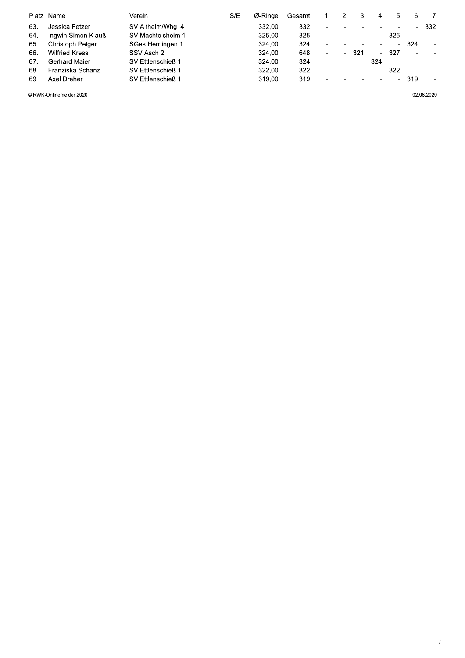|     | Platz Name            | Verein            | S/E | Ø-Ringe | Gesamt |                          |        |                          | 4      | 5                        | 6   |           |
|-----|-----------------------|-------------------|-----|---------|--------|--------------------------|--------|--------------------------|--------|--------------------------|-----|-----------|
| 63. | Jessica Fetzer        | SV Altheim/Whg. 4 |     | 332,00  | 332    |                          |        |                          |        | $\overline{\phantom{a}}$ |     | 332       |
| 64. | Ingwin Simon Klauß    | SV Machtolsheim 1 |     | 325,00  | 325    | $\overline{\phantom{a}}$ |        |                          | ٠.     | 325                      |     |           |
| 65. | Christoph Pelger      | SGes Herrlingen 1 |     | 324,00  | 324    | $\overline{\phantom{a}}$ |        |                          | $\sim$ |                          | 324 | $\bar{a}$ |
| 66. | <b>Wilfried Kress</b> | SSV Asch 2        |     | 324.00  | 648    | $\overline{\phantom{a}}$ | $\sim$ | 321                      | ÷      | 327                      |     |           |
| 67. | Gerhard Maier         | SV Ettlenschieß 1 |     | 324,00  | 324    | $\overline{a}$           |        | $\overline{\phantom{0}}$ | 324    | $\overline{\phantom{a}}$ |     |           |
| 68. | Franziska Schanz      | SV Ettlenschieß 1 |     | 322,00  | 322    | $\overline{\phantom{a}}$ |        | $\,$                     | ٠.     | 322                      |     |           |
| 69  | Axel Dreher           | SV Ettlenschieß 1 |     | 319,00  | 319    |                          |        |                          | $\sim$ | -                        | 319 |           |

© RWK-Onlinemelder 2020

02.08.2020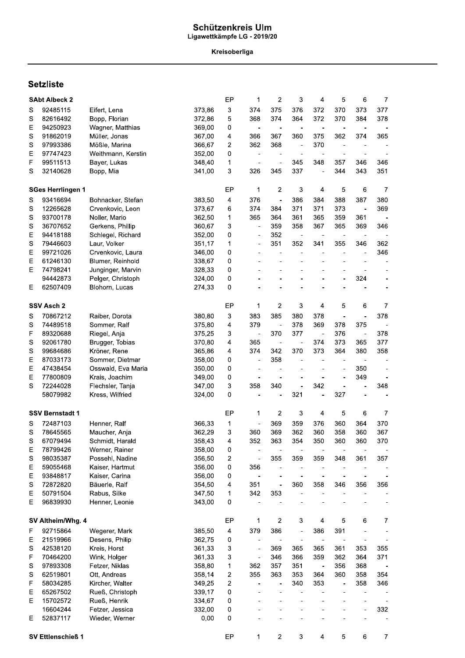## Schützenkreis Ulm<br>Ligawettkämpfe LG - 2019/20

Kreisoberliga

## **Setzliste**

|             | <b>SAbt Albeck 2</b>     |                    |        | EP                      | 1                            | 2                            | 3                        | 4                            | 5                        | 6                        | 7              |
|-------------|--------------------------|--------------------|--------|-------------------------|------------------------------|------------------------------|--------------------------|------------------------------|--------------------------|--------------------------|----------------|
| S           | 92485115                 | Eifert, Lena       | 373,86 | 3                       | 374                          | 375                          | 376                      | 372                          | 370                      | 373                      | 377            |
| S           | 82616492                 | Bopp, Florian      | 372,86 | 5                       | 368                          | 374                          | 364                      | 372                          | 370                      | 384                      | 378            |
| Ε           | 94250923                 | Wagner, Matthias   | 369,00 | 0                       | ÷                            | $\overline{\phantom{a}}$     |                          | $\blacksquare$               | $\blacksquare$           | $\blacksquare$           |                |
| S           | 91862019                 | Müller, Jonas      | 367,00 | 4                       | 366                          | 367                          | 360                      | 375                          | 362                      | 374                      | 365            |
| S           | 97993386                 | Mößle, Marina      | 366,67 | 2                       | 362                          | 368                          | $\overline{a}$           | 370                          | $\overline{\phantom{a}}$ |                          |                |
| E           | 97747423                 | Weithmann, Kerstin | 352,00 | 0                       | $\frac{1}{2}$                |                              | ÷,                       |                              | ٠                        | $\blacksquare$           |                |
| F           | 99511513                 | Bayer, Lukas       | 348,40 | 1                       | $\overline{a}$               | $\blacksquare$               | 345                      | 348                          | 357                      | 346                      | 346            |
| S           | 32140628                 | Bopp, Mia          | 341,00 | 3                       | 326                          | 345                          | 337                      | $\blacksquare$               | 344                      | 343                      | 351            |
|             |                          |                    |        |                         |                              |                              |                          |                              |                          |                          |                |
|             | <b>SGes Herrlingen 1</b> |                    |        | EP                      | 1                            | 2                            | 3                        | $\overline{\mathbf{4}}$      | 5                        | 6                        | 7              |
| S           | 93416694                 | Bohnacker, Stefan  | 383,50 | 4                       | 376                          | $\overline{\phantom{a}}$     | 386                      | 384                          | 388                      | 387                      | 380            |
| S           | 12265628                 | Crvenkovic, Leon   | 373,67 | 6                       | 374                          | 384                          | 371                      | 371                          | 373                      | $\blacksquare$           | 369            |
| S           | 93700178                 | Noller, Mario      | 362,50 | 1                       | 365                          | 364                          | 361                      | 365                          | 359                      | 361                      | $\blacksquare$ |
| S           | 36707652                 | Gerkens, Phillip   | 360,67 | 3                       | $\frac{1}{2}$                | 359                          | 358                      | 367                          | 365                      | 369                      | 346            |
| E           | 94418188                 | Schlegel, Richard  | 352,00 | 0                       | $\qquad \qquad \blacksquare$ | 352                          | $\overline{a}$           | $\overline{\phantom{a}}$     | $\overline{\phantom{a}}$ | $\overline{\phantom{a}}$ |                |
| S           | 79446603                 | Laur, Volker       | 351,17 | 1                       | $\overline{\phantom{0}}$     | 351                          | 352                      | 341                          | 355                      | 346                      | 362            |
| E           | 99721026                 | Crvenkovic, Laura  | 346,00 | 0                       |                              |                              |                          | $\overline{\phantom{m}}$     |                          | $\blacksquare$           | 346            |
| E           | 61246130                 | Blumer, Reinhold   | 338,67 | 0                       |                              |                              |                          |                              |                          |                          |                |
| Ε           | 74798241                 | Junginger, Marvin  | 328,33 | 0                       |                              |                              |                          |                              |                          |                          |                |
|             | 94442873                 | Pelger, Christoph  | 324,00 | 0                       |                              |                              |                          |                              | L,                       | 324                      |                |
| E           | 62507409                 | Blohorn, Lucas     | 274,33 | 0                       |                              |                              |                          |                              |                          |                          |                |
|             |                          |                    |        |                         |                              |                              |                          |                              |                          |                          |                |
|             | SSV Asch 2               |                    |        | EP                      | 1                            | 2                            | 3                        | 4                            | 5                        | 6                        | 7              |
| S           | 70867212                 | Raiber, Dorota     | 380,80 | 3                       | 383                          | 385                          | 380                      | 378                          | $\frac{1}{2}$            |                          | 378            |
| S           | 74489518                 | Sommer, Ralf       | 375,80 | 4                       | 379                          | $\overline{\phantom{a}}$     | 378                      | 369                          | 378                      | 375                      |                |
| F           | 89320688                 | Riegel, Anja       | 375,25 | 3                       | $\overline{a}$               | 370                          | 377                      | $\overline{\phantom{a}}$     | 376                      | $\overline{\phantom{a}}$ | 378            |
| S           | 92061780                 | Brugger, Tobias    | 370,80 | 4                       | 365                          | $\overline{\phantom{a}}$     |                          | 374                          | 373                      | 365                      | 377            |
| S           | 99684686                 | Kröner, Rene       | 365,86 | 4                       | 374                          | 342                          | 370                      | 373                          | 364                      | 380                      | 358            |
| E           | 87033173                 | Sommer, Dietmar    | 358,00 | 0                       | $\frac{1}{2}$                | 358                          |                          |                              |                          |                          |                |
| E           | 47438454                 | Osswald, Eva Maria | 350,00 | 0                       | $\overline{a}$               | $\overline{\phantom{m}}$     |                          |                              | $\overline{a}$           | 350                      |                |
| E           | 77800809                 | Krais, Joachim     | 349,00 | 0                       | ÷,                           | $\overline{\phantom{a}}$     |                          |                              | ÷,                       | 349                      |                |
| S           | 72244028                 | Flechsler, Tanja   | 347,00 | 3                       | 358                          | 340                          | $\overline{a}$           | 342                          | $\frac{1}{2}$            | $\blacksquare$           | 348            |
|             | 58079982                 | Kress, Wilfried    | 324,00 | 0                       | $\blacksquare$               |                              | 321                      | $\overline{a}$               | 327                      |                          |                |
|             | <b>SSV Bernstadt 1</b>   |                    |        | EP                      | 1                            | $\overline{c}$               | 3                        | 4                            | 5                        | 6                        | $\overline{7}$ |
|             |                          |                    |        |                         |                              |                              |                          |                              |                          |                          |                |
| S           | 72487103                 | Henner, Ralf       | 366,33 | 1                       |                              | 369                          | 359                      | 376                          | 360                      | 364                      | 370            |
| $\mathbb S$ | 78645565                 | Maucher, Anja      | 362,29 | 3                       | 360                          | 369                          | 362                      | 360                          | 358                      | 360                      | 367            |
| S           | 67079494                 | Schmidt, Harald    | 358,43 | 4                       | 352                          | 363                          | 354                      | 350                          | 360                      | 360                      | 370            |
| Ε           | 78799426                 | Werner, Rainer     | 358,00 | 0                       |                              |                              |                          |                              |                          |                          |                |
| $\mathbb S$ | 98035387                 | Possehl, Nadine    | 356,50 | $\overline{\mathbf{c}}$ | $\overline{a}$               | 355                          | 359                      | 359                          | 348                      | 361                      | 357            |
| E           | 59055468                 | Kaiser, Hartmut    | 356,00 | 0                       | 356                          | $\qquad \qquad \blacksquare$ |                          | $\overline{\phantom{a}}$     |                          |                          |                |
| E           | 93848817                 | Kaiser, Carina     | 356,00 | 0                       | ÷                            |                              |                          |                              |                          |                          |                |
| S           | 72872820                 | Bäuerle, Ralf      | 354,50 | 4                       | 351                          | ÷,                           | 360                      | 358                          | 346                      | 356                      | 356            |
| E           | 50791504                 | Rabus, Silke       | 347,50 | 1                       | 342                          | 353                          | $\overline{a}$           |                              |                          |                          |                |
| Ε           | 96839930                 | Henner, Leonie     | 343,00 | 0                       | ÷                            |                              |                          |                              |                          |                          |                |
|             | SV Altheim/Whg. 4        |                    |        | EP                      | 1                            | 2                            | 3                        | 4                            | 5                        | 6                        | $\overline{7}$ |
|             | 92715864                 | Wegerer, Mark      | 385,50 | 4                       | 379                          | 386                          | $\overline{\phantom{0}}$ | 386                          | 391                      |                          |                |
| F           |                          |                    |        |                         |                              |                              |                          |                              |                          |                          |                |
| Ε           | 21519966                 | Desens, Philip     | 362,75 | 0                       | ÷                            |                              |                          | $\qquad \qquad \blacksquare$ |                          |                          |                |
| S           | 42538120                 | Kreis, Horst       | 361,33 | 3                       | $\overline{\phantom{a}}$     | 369                          | 365                      | 365                          | 361                      | 353                      | 355            |
| F           | 70464200                 | Wink, Holger       | 361,33 | 3                       |                              | 346                          | 366                      | 359                          | 362                      | 364                      | 371            |
| S           | 97893308                 | Fetzer, Niklas     | 358,80 | 1                       | 362                          | 357                          | 351                      | $\overline{\phantom{a}}$     | 356                      | 368                      |                |
| S           | 62519801                 | Ott, Andreas       | 358,14 | 2                       | 355                          | 363                          | 353                      | 364                          | 360                      | 358                      | 354            |
| F           | 58034285                 | Kircher, Walter    | 349,25 | 2                       | $\overline{\phantom{0}}$     | $\overline{a}$               | 340                      | 353                          | $\qquad \qquad -$        | 358                      | 346            |
| E           | 65267502                 | Rueß, Christoph    | 339,17 | 0                       |                              |                              |                          |                              |                          |                          |                |
| Е           | 15702572                 | Rueß, Henrik       | 334,67 | 0                       |                              |                              |                          |                              |                          |                          |                |
|             | 16604244                 | Fetzer, Jessica    | 332,00 | 0                       |                              |                              |                          |                              |                          |                          | 332            |
| Ε           | 52837117                 | Wieder, Werner     | 0,00   | 0                       |                              |                              |                          |                              |                          |                          |                |
|             | SV Ettlenschieß 1        | EP                 | 1      | $\overline{c}$          | 3                            | 4                            | 5                        | $\,6$                        | 7                        |                          |                |